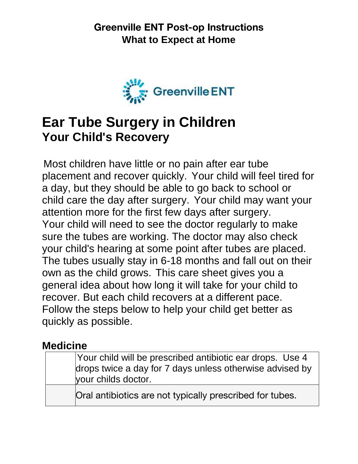

# **Ear Tube Surgery in Children Your Child's Recovery**

Most children have little or no pain after ear tube placement and recover quickly. Your child will feel tired for a day, but they should be able to go back to school or child care the day after surgery. Your child may want your attention more for the first few days after surgery. Your child will need to see the doctor regularly to make sure the tubes are working. The doctor may also check your child's hearing at some point after tubes are placed. The tubes usually stay in 6-18 months and fall out on their own as the child grows. This care sheet gives you a general idea about how long it will take for your child to recover. But each child recovers at a different pace. Follow the steps below to help your child get better as quickly as possible.

#### **Medicine**

| Your child will be prescribed antibiotic ear drops. Use 4<br>drops twice a day for 7 days unless otherwise advised by<br>your childs doctor. |
|----------------------------------------------------------------------------------------------------------------------------------------------|
| Oral antibiotics are not typically prescribed for tubes.                                                                                     |